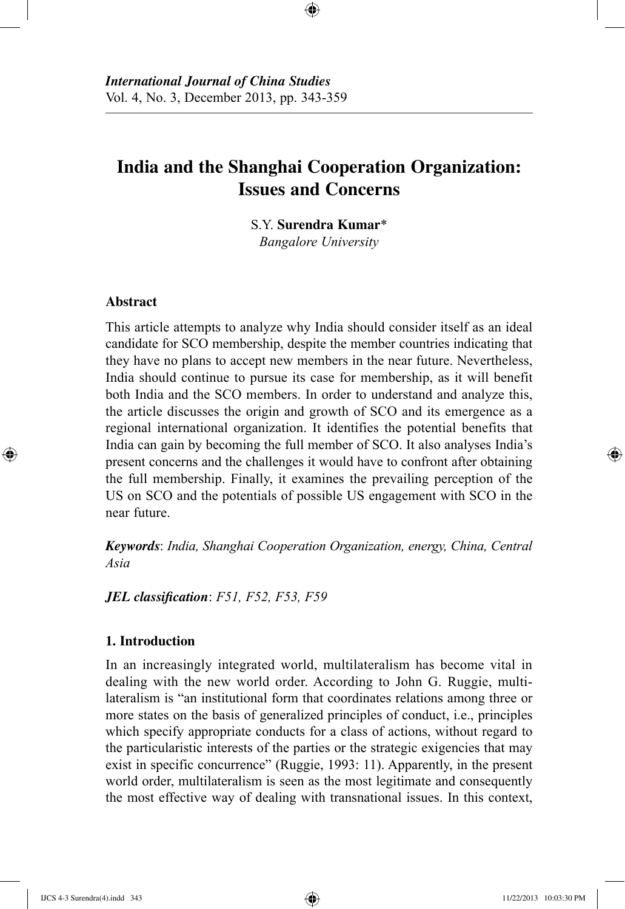# **India and the Shanghai Cooperation Organization: Issues and Concerns**

⊕

S.Y. **Surendra Kumar**\* *Bangalore University*

## **Abstract**

⊕

This article attempts to analyze why India should consider itself as an ideal candidate for SCO membership, despite the member countries indicating that they have no plans to accept new members in the near future. Nevertheless, India should continue to pursue its case for membership, as it will benefit both India and the SCO members. In order to understand and analyze this, the article discusses the origin and growth of SCO and its emergence as a regional international organization. It identifies the potential benefits that India can gain by becoming the full member of SCO. It also analyses India's present concerns and the challenges it would have to confront after obtaining the full membership. Finally, it examines the prevailing perception of the US on SCO and the potentials of possible US engagement with SCO in the near future.

*Keywords*: *India, Shanghai Cooperation Organization, energy, China, Central Asia*

*JEL classification*: *F51, F52, F53, F59*

## **1. Introduction**

In an increasingly integrated world, multilateralism has become vital in dealing with the new world order. According to John G. Ruggie, multilateralism is "an institutional form that coordinates relations among three or more states on the basis of generalized principles of conduct, i.e., principles which specify appropriate conducts for a class of actions, without regard to the particularistic interests of the parties or the strategic exigencies that may exist in specific concurrence" (Ruggie, 1993: 11). Apparently, in the present world order, multilateralism is seen as the most legitimate and consequently the most effective way of dealing with transnational issues. In this context,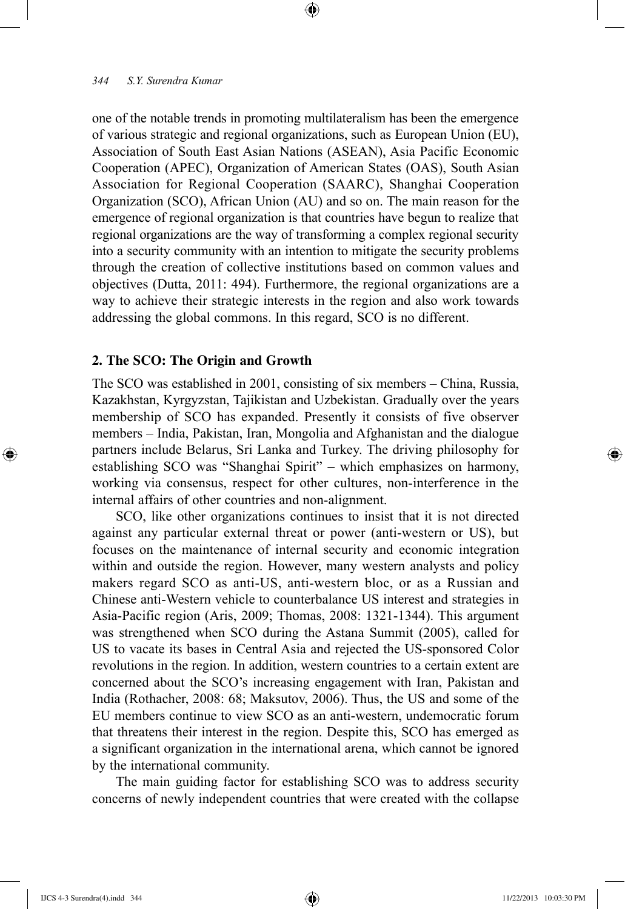one of the notable trends in promoting multilateralism has been the emergence of various strategic and regional organizations, such as European Union (EU), Association of South East Asian Nations (ASEAN), Asia Pacific Economic Cooperation (APEC), Organization of American States (OAS), South Asian Association for Regional Cooperation (SAARC), Shanghai Cooperation Organization (SCO), African Union (AU) and so on. The main reason for the emergence of regional organization is that countries have begun to realize that regional organizations are the way of transforming a complex regional security into a security community with an intention to mitigate the security problems through the creation of collective institutions based on common values and objectives (Dutta, 2011: 494). Furthermore, the regional organizations are a way to achieve their strategic interests in the region and also work towards addressing the global commons. In this regard, SCO is no different.

⊕

#### **2. The SCO: The Origin and Growth**

The SCO was established in 2001, consisting of six members – China, Russia, Kazakhstan, Kyrgyzstan, Tajikistan and Uzbekistan. Gradually over the years membership of SCO has expanded. Presently it consists of five observer members – India, Pakistan, Iran, Mongolia and Afghanistan and the dialogue partners include Belarus, Sri Lanka and Turkey. The driving philosophy for establishing SCO was "Shanghai Spirit" – which emphasizes on harmony, working via consensus, respect for other cultures, non-interference in the internal affairs of other countries and non-alignment.

SCO, like other organizations continues to insist that it is not directed against any particular external threat or power (anti-western or US), but focuses on the maintenance of internal security and economic integration within and outside the region. However, many western analysts and policy makers regard SCO as anti-US, anti-western bloc, or as a Russian and Chinese anti-Western vehicle to counterbalance US interest and strategies in Asia-Pacific region (Aris, 2009; Thomas, 2008: 1321-1344). This argument was strengthened when SCO during the Astana Summit (2005), called for US to vacate its bases in Central Asia and rejected the US-sponsored Color revolutions in the region. In addition, western countries to a certain extent are concerned about the SCO's increasing engagement with Iran, Pakistan and India (Rothacher, 2008: 68; Maksutov, 2006). Thus, the US and some of the EU members continue to view SCO as an anti-western, undemocratic forum that threatens their interest in the region. Despite this, SCO has emerged as a significant organization in the international arena, which cannot be ignored by the international community.

The main guiding factor for establishing SCO was to address security concerns of newly independent countries that were created with the collapse

⊕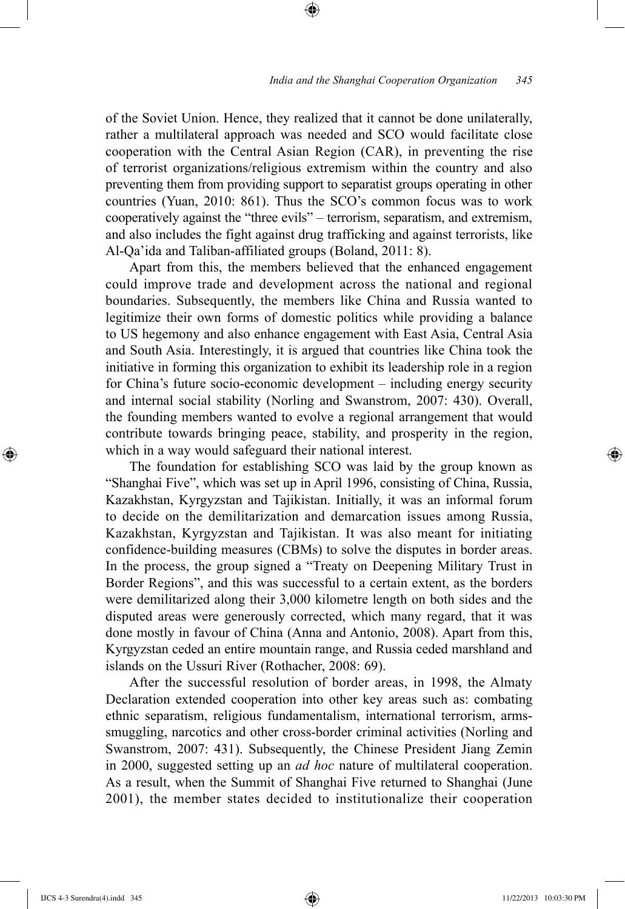of the Soviet Union. Hence, they realized that it cannot be done unilaterally, rather a multilateral approach was needed and SCO would facilitate close cooperation with the Central Asian Region (CAR), in preventing the rise of terrorist organizations/religious extremism within the country and also preventing them from providing support to separatist groups operating in other countries (Yuan, 2010: 861). Thus the SCO's common focus was to work cooperatively against the "three evils" – terrorism, separatism, and extremism, and also includes the fight against drug trafficking and against terrorists, like Al-Qa'ida and Taliban-affiliated groups (Boland, 2011: 8).

⊕

Apart from this, the members believed that the enhanced engagement could improve trade and development across the national and regional boundaries. Subsequently, the members like China and Russia wanted to legitimize their own forms of domestic politics while providing a balance to US hegemony and also enhance engagement with East Asia, Central Asia and South Asia. Interestingly, it is argued that countries like China took the initiative in forming this organization to exhibit its leadership role in a region for China's future socio-economic development – including energy security and internal social stability (Norling and Swanstrom, 2007: 430). Overall, the founding members wanted to evolve a regional arrangement that would contribute towards bringing peace, stability, and prosperity in the region, which in a way would safeguard their national interest.

The foundation for establishing SCO was laid by the group known as "Shanghai Five", which was set up in April 1996, consisting of China, Russia, Kazakhstan, Kyrgyzstan and Tajikistan. Initially, it was an informal forum to decide on the demilitarization and demarcation issues among Russia, Kazakhstan, Kyrgyzstan and Tajikistan. It was also meant for initiating confidence-building measures (CBMs) to solve the disputes in border areas. In the process, the group signed a "Treaty on Deepening Military Trust in Border Regions", and this was successful to a certain extent, as the borders were demilitarized along their 3,000 kilometre length on both sides and the disputed areas were generously corrected, which many regard, that it was done mostly in favour of China (Anna and Antonio, 2008). Apart from this, Kyrgyzstan ceded an entire mountain range, and Russia ceded marshland and islands on the Ussuri River (Rothacher, 2008: 69).

After the successful resolution of border areas, in 1998, the Almaty Declaration extended cooperation into other key areas such as: combating ethnic separatism, religious fundamentalism, international terrorism, armssmuggling, narcotics and other cross-border criminal activities (Norling and Swanstrom, 2007: 431). Subsequently, the Chinese President Jiang Zemin in 2000, suggested setting up an *ad hoc* nature of multilateral cooperation. As a result, when the Summit of Shanghai Five returned to Shanghai (June 2001), the member states decided to institutionalize their cooperation

IJCS 4-3 Surendra(4).indd 345 11/22/2013 10:03:30 PM

⊕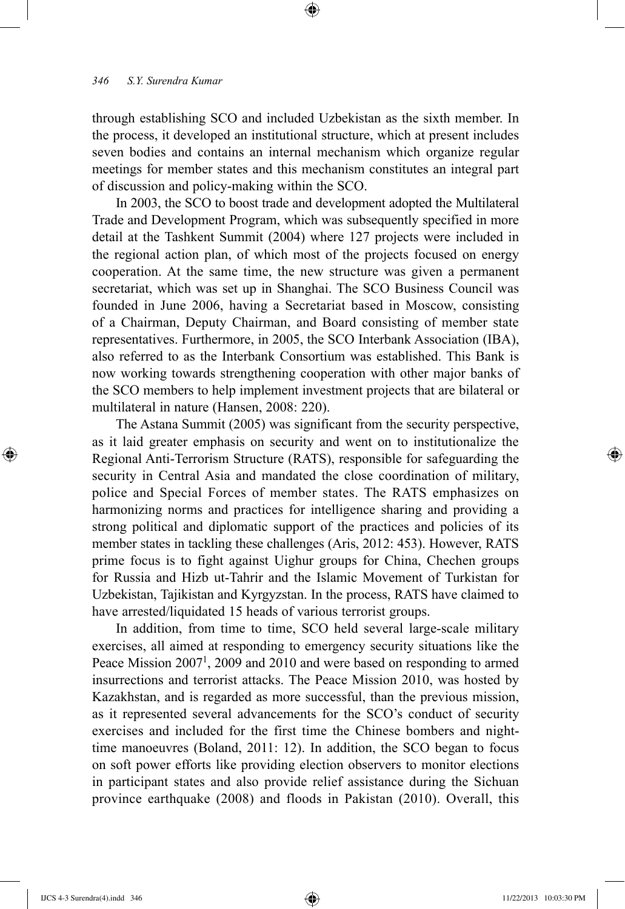through establishing SCO and included Uzbekistan as the sixth member. In the process, it developed an institutional structure, which at present includes seven bodies and contains an internal mechanism which organize regular meetings for member states and this mechanism constitutes an integral part of discussion and policy-making within the SCO.

⊕

In 2003, the SCO to boost trade and development adopted the Multilateral Trade and Development Program, which was subsequently specified in more detail at the Tashkent Summit (2004) where 127 projects were included in the regional action plan, of which most of the projects focused on energy cooperation. At the same time, the new structure was given a permanent secretariat, which was set up in Shanghai. The SCO Business Council was founded in June 2006, having a Secretariat based in Moscow, consisting of a Chairman, Deputy Chairman, and Board consisting of member state representatives. Furthermore, in 2005, the SCO Interbank Association (IBA), also referred to as the Interbank Consortium was established. This Bank is now working towards strengthening cooperation with other major banks of the SCO members to help implement investment projects that are bilateral or multilateral in nature (Hansen, 2008: 220).

The Astana Summit (2005) was significant from the security perspective, as it laid greater emphasis on security and went on to institutionalize the Regional Anti-Terrorism Structure (RATS), responsible for safeguarding the security in Central Asia and mandated the close coordination of military, police and Special Forces of member states. The RATS emphasizes on harmonizing norms and practices for intelligence sharing and providing a strong political and diplomatic support of the practices and policies of its member states in tackling these challenges (Aris, 2012: 453). However, RATS prime focus is to fight against Uighur groups for China, Chechen groups for Russia and Hizb ut-Tahrir and the Islamic Movement of Turkistan for Uzbekistan, Tajikistan and Kyrgyzstan. In the process, RATS have claimed to have arrested/liquidated 15 heads of various terrorist groups.

In addition, from time to time, SCO held several large-scale military exercises, all aimed at responding to emergency security situations like the Peace Mission  $2007<sup>1</sup>$ , 2009 and 2010 and were based on responding to armed insurrections and terrorist attacks. The Peace Mission 2010, was hosted by Kazakhstan, and is regarded as more successful, than the previous mission, as it represented several advancements for the SCO's conduct of security exercises and included for the first time the Chinese bombers and nighttime manoeuvres (Boland, 2011: 12). In addition, the SCO began to focus on soft power efforts like providing election observers to monitor elections in participant states and also provide relief assistance during the Sichuan province earthquake (2008) and floods in Pakistan (2010). Overall, this

⊕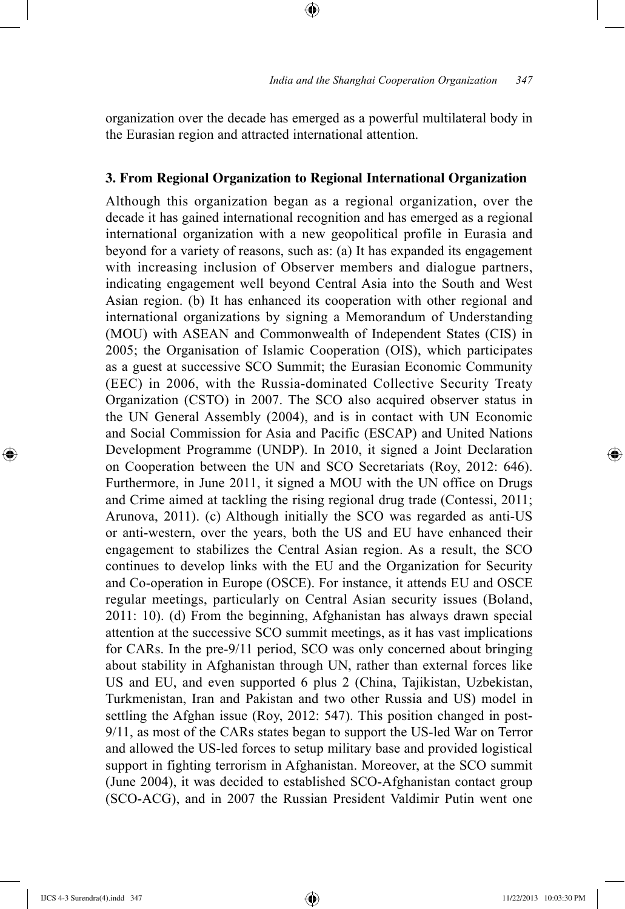organization over the decade has emerged as a powerful multilateral body in the Eurasian region and attracted international attention.

⊕

## **3. From Regional Organization to Regional International Organization**

Although this organization began as a regional organization, over the decade it has gained international recognition and has emerged as a regional international organization with a new geopolitical profile in Eurasia and beyond for a variety of reasons, such as: (a) It has expanded its engagement with increasing inclusion of Observer members and dialogue partners, indicating engagement well beyond Central Asia into the South and West Asian region. (b) It has enhanced its cooperation with other regional and international organizations by signing a Memorandum of Understanding (MOU) with ASEAN and Commonwealth of Independent States (CIS) in 2005; the Organisation of Islamic Cooperation (OIS), which participates as a guest at successive SCO Summit; the Eurasian Economic Community (EEC) in 2006, with the Russia-dominated Collective Security Treaty Organization (CSTO) in 2007. The SCO also acquired observer status in the UN General Assembly (2004), and is in contact with UN Economic and Social Commission for Asia and Pacific (ESCAP) and United Nations Development Programme (UNDP). In 2010, it signed a Joint Declaration on Cooperation between the UN and SCO Secretariats (Roy, 2012: 646). Furthermore, in June 2011, it signed a MOU with the UN office on Drugs and Crime aimed at tackling the rising regional drug trade (Contessi, 2011; Arunova, 2011). (c) Although initially the SCO was regarded as anti-US or anti-western, over the years, both the US and EU have enhanced their engagement to stabilizes the Central Asian region. As a result, the SCO continues to develop links with the EU and the Organization for Security and Co-operation in Europe (OSCE). For instance, it attends EU and OSCE regular meetings, particularly on Central Asian security issues (Boland, 2011: 10). (d) From the beginning, Afghanistan has always drawn special attention at the successive SCO summit meetings, as it has vast implications for CARs. In the pre-9/11 period, SCO was only concerned about bringing about stability in Afghanistan through UN, rather than external forces like US and EU, and even supported 6 plus 2 (China, Tajikistan, Uzbekistan, Turkmenistan, Iran and Pakistan and two other Russia and US) model in settling the Afghan issue (Roy, 2012: 547). This position changed in post-9/11, as most of the CARs states began to support the US-led War on Terror and allowed the US-led forces to setup military base and provided logistical support in fighting terrorism in Afghanistan. Moreover, at the SCO summit (June 2004), it was decided to established SCO-Afghanistan contact group (SCO-ACG), and in 2007 the Russian President Valdimir Putin went one

⊕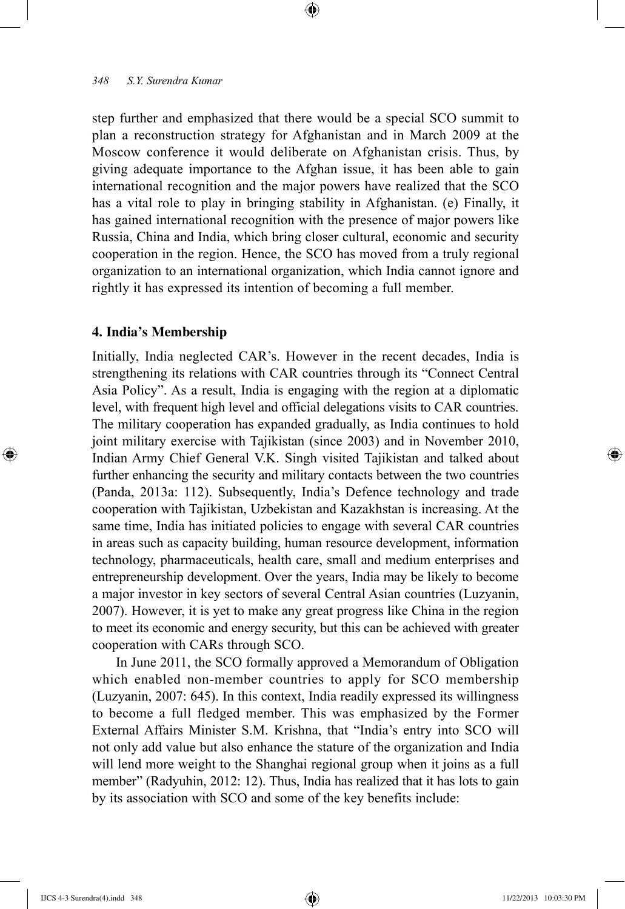step further and emphasized that there would be a special SCO summit to plan a reconstruction strategy for Afghanistan and in March 2009 at the Moscow conference it would deliberate on Afghanistan crisis. Thus, by giving adequate importance to the Afghan issue, it has been able to gain international recognition and the major powers have realized that the SCO has a vital role to play in bringing stability in Afghanistan. (e) Finally, it has gained international recognition with the presence of major powers like Russia, China and India, which bring closer cultural, economic and security cooperation in the region. Hence, the SCO has moved from a truly regional organization to an international organization, which India cannot ignore and rightly it has expressed its intention of becoming a full member.

⊕

#### **4. India's Membership**

Initially, India neglected CAR's. However in the recent decades, India is strengthening its relations with CAR countries through its "Connect Central Asia Policy". As a result, India is engaging with the region at a diplomatic level, with frequent high level and official delegations visits to CAR countries. The military cooperation has expanded gradually, as India continues to hold joint military exercise with Tajikistan (since 2003) and in November 2010, Indian Army Chief General V.K. Singh visited Tajikistan and talked about further enhancing the security and military contacts between the two countries (Panda, 2013a: 112). Subsequently, India's Defence technology and trade cooperation with Tajikistan, Uzbekistan and Kazakhstan is increasing. At the same time, India has initiated policies to engage with several CAR countries in areas such as capacity building, human resource development, information technology, pharmaceuticals, health care, small and medium enterprises and entrepreneurship development. Over the years, India may be likely to become a major investor in key sectors of several Central Asian countries (Luzyanin, 2007). However, it is yet to make any great progress like China in the region to meet its economic and energy security, but this can be achieved with greater cooperation with CARs through SCO.

In June 2011, the SCO formally approved a Memorandum of Obligation which enabled non-member countries to apply for SCO membership (Luzyanin, 2007: 645). In this context, India readily expressed its willingness to become a full fledged member. This was emphasized by the Former External Affairs Minister S.M. Krishna, that "India's entry into SCO will not only add value but also enhance the stature of the organization and India will lend more weight to the Shanghai regional group when it joins as a full member" (Radyuhin, 2012: 12). Thus, India has realized that it has lots to gain by its association with SCO and some of the key benefits include:

⊕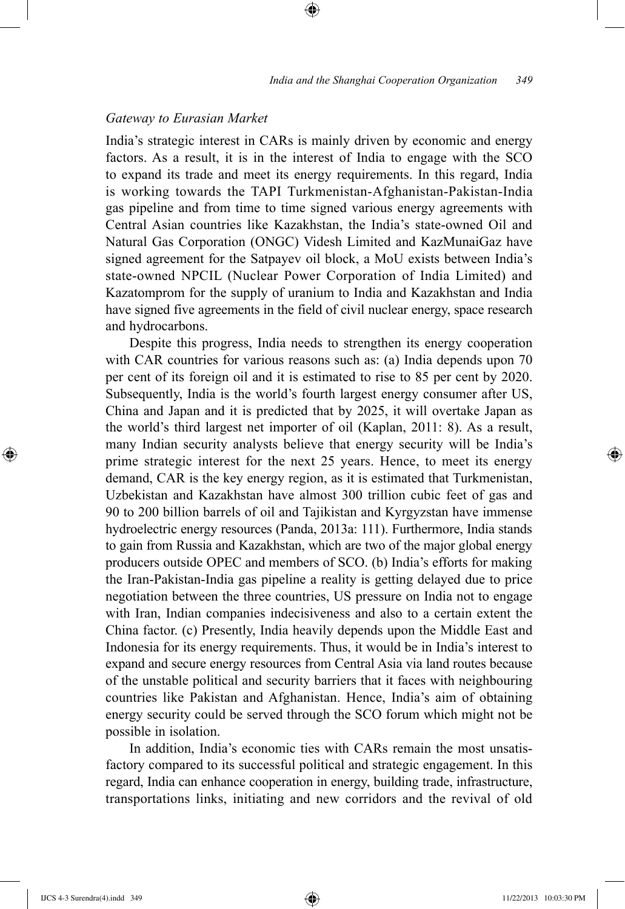## *Gateway to Eurasian Market*

India's strategic interest in CARs is mainly driven by economic and energy factors. As a result, it is in the interest of India to engage with the SCO to expand its trade and meet its energy requirements. In this regard, India is working towards the TAPI Turkmenistan-Afghanistan-Pakistan-India gas pipeline and from time to time signed various energy agreements with Central Asian countries like Kazakhstan, the India's state-owned Oil and Natural Gas Corporation (ONGC) Videsh Limited and KazMunaiGaz have signed agreement for the Satpayev oil block, a MoU exists between India's state-owned NPCIL (Nuclear Power Corporation of India Limited) and Kazatomprom for the supply of uranium to India and Kazakhstan and India have signed five agreements in the field of civil nuclear energy, space research and hydrocarbons.

⊕

Despite this progress, India needs to strengthen its energy cooperation with CAR countries for various reasons such as: (a) India depends upon 70 per cent of its foreign oil and it is estimated to rise to 85 per cent by 2020. Subsequently, India is the world's fourth largest energy consumer after US, China and Japan and it is predicted that by 2025, it will overtake Japan as the world's third largest net importer of oil (Kaplan, 2011: 8). As a result, many Indian security analysts believe that energy security will be India's prime strategic interest for the next 25 years. Hence, to meet its energy demand, CAR is the key energy region, as it is estimated that Turkmenistan, Uzbekistan and Kazakhstan have almost 300 trillion cubic feet of gas and 90 to 200 billion barrels of oil and Tajikistan and Kyrgyzstan have immense hydroelectric energy resources (Panda, 2013a: 111). Furthermore, India stands to gain from Russia and Kazakhstan, which are two of the major global energy producers outside OPEC and members of SCO. (b) India's efforts for making the Iran-Pakistan-India gas pipeline a reality is getting delayed due to price negotiation between the three countries, US pressure on India not to engage with Iran, Indian companies indecisiveness and also to a certain extent the China factor. (c) Presently, India heavily depends upon the Middle East and Indonesia for its energy requirements. Thus, it would be in India's interest to expand and secure energy resources from Central Asia via land routes because of the unstable political and security barriers that it faces with neighbouring countries like Pakistan and Afghanistan. Hence, India's aim of obtaining energy security could be served through the SCO forum which might not be possible in isolation.

In addition, India's economic ties with CARs remain the most unsatisfactory compared to its successful political and strategic engagement. In this regard, India can enhance cooperation in energy, building trade, infrastructure, transportations links, initiating and new corridors and the revival of old

⊕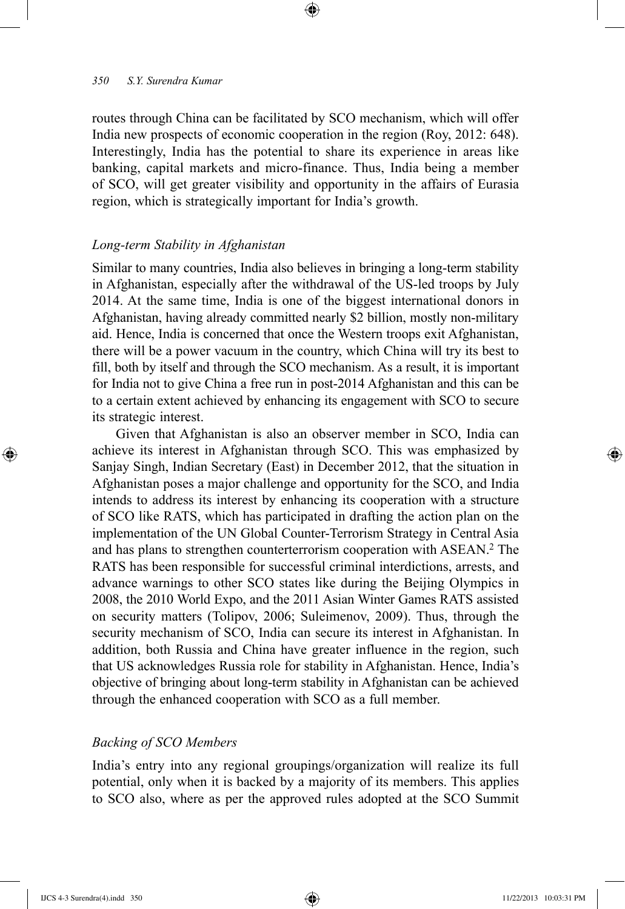routes through China can be facilitated by SCO mechanism, which will offer India new prospects of economic cooperation in the region (Roy, 2012: 648). Interestingly, India has the potential to share its experience in areas like banking, capital markets and micro-finance. Thus, India being a member of SCO, will get greater visibility and opportunity in the affairs of Eurasia region, which is strategically important for India's growth.

⊕

## *Long-term Stability in Afghanistan*

Similar to many countries, India also believes in bringing a long-term stability in Afghanistan, especially after the withdrawal of the US-led troops by July 2014. At the same time, India is one of the biggest international donors in Afghanistan, having already committed nearly \$2 billion, mostly non-military aid. Hence, India is concerned that once the Western troops exit Afghanistan, there will be a power vacuum in the country, which China will try its best to fill, both by itself and through the SCO mechanism. As a result, it is important for India not to give China a free run in post-2014 Afghanistan and this can be to a certain extent achieved by enhancing its engagement with SCO to secure its strategic interest.

Given that Afghanistan is also an observer member in SCO, India can achieve its interest in Afghanistan through SCO. This was emphasized by Sanjay Singh, Indian Secretary (East) in December 2012, that the situation in Afghanistan poses a major challenge and opportunity for the SCO, and India intends to address its interest by enhancing its cooperation with a structure of SCO like RATS, which has participated in drafting the action plan on the implementation of the UN Global Counter-Terrorism Strategy in Central Asia and has plans to strengthen counterterrorism cooperation with ASEAN.2 The RATS has been responsible for successful criminal interdictions, arrests, and advance warnings to other SCO states like during the Beijing Olympics in 2008, the 2010 World Expo, and the 2011 Asian Winter Games RATS assisted on security matters (Tolipov, 2006; Suleimenov, 2009). Thus, through the security mechanism of SCO, India can secure its interest in Afghanistan. In addition, both Russia and China have greater influence in the region, such that US acknowledges Russia role for stability in Afghanistan. Hence, India's objective of bringing about long-term stability in Afghanistan can be achieved through the enhanced cooperation with SCO as a full member.

## *Backing of SCO Members*

India's entry into any regional groupings/organization will realize its full potential, only when it is backed by a majority of its members. This applies to SCO also, where as per the approved rules adopted at the SCO Summit

⊕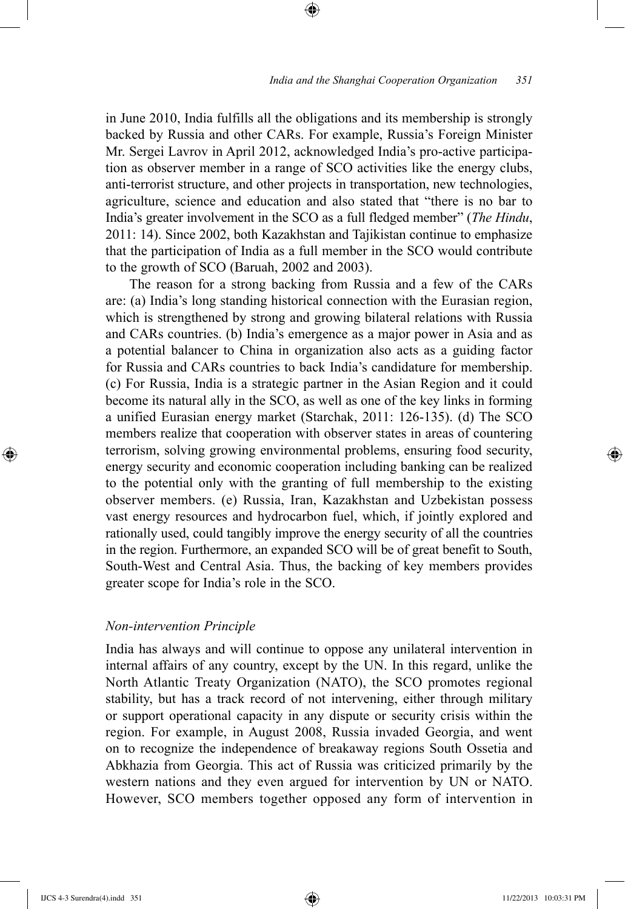in June 2010, India fulfills all the obligations and its membership is strongly backed by Russia and other CARs. For example, Russia's Foreign Minister Mr. Sergei Lavrov in April 2012, acknowledged India's pro-active participation as observer member in a range of SCO activities like the energy clubs, anti-terrorist structure, and other projects in transportation, new technologies, agriculture, science and education and also stated that "there is no bar to India's greater involvement in the SCO as a full fledged member" (*The Hindu*, 2011: 14). Since 2002, both Kazakhstan and Tajikistan continue to emphasize that the participation of India as a full member in the SCO would contribute to the growth of SCO (Baruah, 2002 and 2003).

⊕

The reason for a strong backing from Russia and a few of the CARs are: (a) India's long standing historical connection with the Eurasian region, which is strengthened by strong and growing bilateral relations with Russia and CARs countries. (b) India's emergence as a major power in Asia and as a potential balancer to China in organization also acts as a guiding factor for Russia and CARs countries to back India's candidature for membership. (c) For Russia, India is a strategic partner in the Asian Region and it could become its natural ally in the SCO, as well as one of the key links in forming a unified Eurasian energy market (Starchak, 2011: 126-135). (d) The SCO members realize that cooperation with observer states in areas of countering terrorism, solving growing environmental problems, ensuring food security, energy security and economic cooperation including banking can be realized to the potential only with the granting of full membership to the existing observer members. (e) Russia, Iran, Kazakhstan and Uzbekistan possess vast energy resources and hydrocarbon fuel, which, if jointly explored and rationally used, could tangibly improve the energy security of all the countries in the region. Furthermore, an expanded SCO will be of great benefit to South, South-West and Central Asia. Thus, the backing of key members provides greater scope for India's role in the SCO.

## *Non-intervention Principle*

India has always and will continue to oppose any unilateral intervention in internal affairs of any country, except by the UN. In this regard, unlike the North Atlantic Treaty Organization (NATO), the SCO promotes regional stability, but has a track record of not intervening, either through military or support operational capacity in any dispute or security crisis within the region. For example, in August 2008, Russia invaded Georgia, and went on to recognize the independence of breakaway regions South Ossetia and Abkhazia from Georgia. This act of Russia was criticized primarily by the western nations and they even argued for intervention by UN or NATO. However, SCO members together opposed any form of intervention in

⊕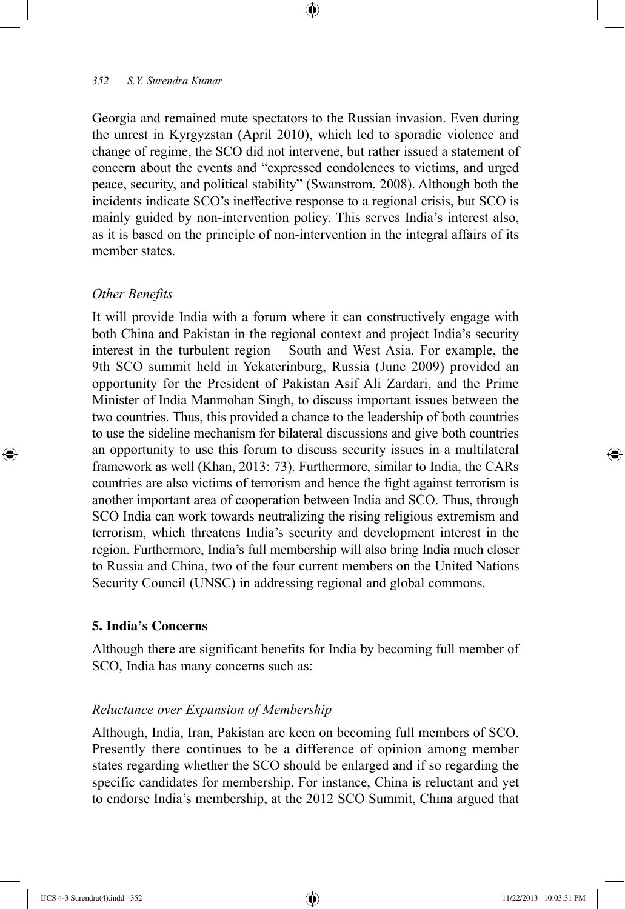Georgia and remained mute spectators to the Russian invasion. Even during the unrest in Kyrgyzstan (April 2010), which led to sporadic violence and change of regime, the SCO did not intervene, but rather issued a statement of concern about the events and "expressed condolences to victims, and urged peace, security, and political stability" (Swanstrom, 2008). Although both the incidents indicate SCO's ineffective response to a regional crisis, but SCO is mainly guided by non-intervention policy. This serves India's interest also, as it is based on the principle of non-intervention in the integral affairs of its member states.

⊕

## *Other Benefits*

⊕

It will provide India with a forum where it can constructively engage with both China and Pakistan in the regional context and project India's security interest in the turbulent region – South and West Asia. For example, the 9th SCO summit held in Yekaterinburg, Russia (June 2009) provided an opportunity for the President of Pakistan Asif Ali Zardari, and the Prime Minister of India Manmohan Singh, to discuss important issues between the two countries. Thus, this provided a chance to the leadership of both countries to use the sideline mechanism for bilateral discussions and give both countries an opportunity to use this forum to discuss security issues in a multilateral framework as well (Khan, 2013: 73). Furthermore, similar to India, the CARs countries are also victims of terrorism and hence the fight against terrorism is another important area of cooperation between India and SCO. Thus, through SCO India can work towards neutralizing the rising religious extremism and terrorism, which threatens India's security and development interest in the region. Furthermore, India's full membership will also bring India much closer to Russia and China, two of the four current members on the United Nations Security Council (UNSC) in addressing regional and global commons.

## **5. India's Concerns**

Although there are significant benefits for India by becoming full member of SCO, India has many concerns such as:

## *Reluctance over Expansion of Membership*

Although, India, Iran, Pakistan are keen on becoming full members of SCO. Presently there continues to be a difference of opinion among member states regarding whether the SCO should be enlarged and if so regarding the specific candidates for membership. For instance, China is reluctant and yet to endorse India's membership, at the 2012 SCO Summit, China argued that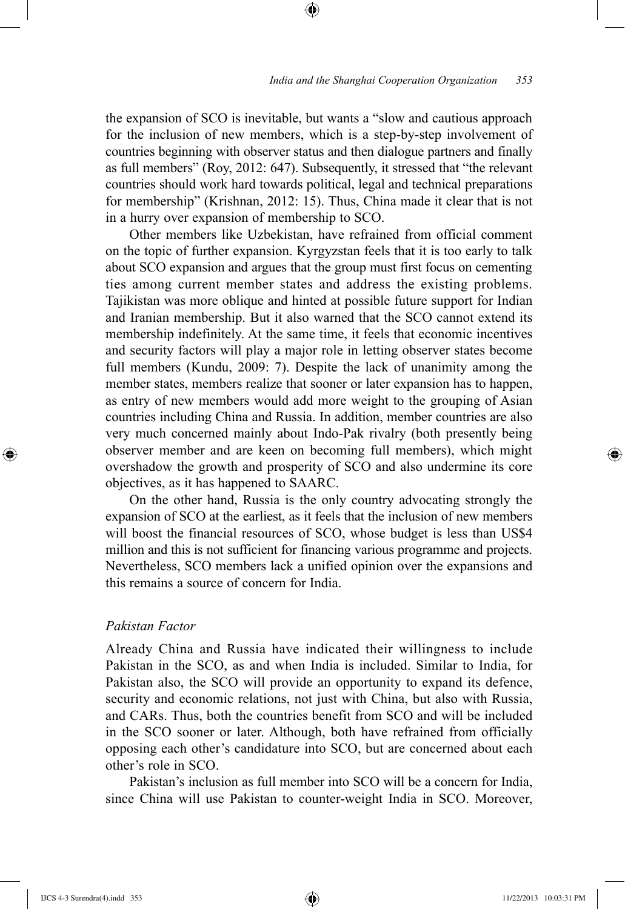the expansion of SCO is inevitable, but wants a "slow and cautious approach for the inclusion of new members, which is a step-by-step involvement of countries beginning with observer status and then dialogue partners and finally as full members" (Roy, 2012: 647). Subsequently, it stressed that "the relevant countries should work hard towards political, legal and technical preparations for membership" (Krishnan, 2012: 15). Thus, China made it clear that is not in a hurry over expansion of membership to SCO.

⊕

Other members like Uzbekistan, have refrained from official comment on the topic of further expansion. Kyrgyzstan feels that it is too early to talk about SCO expansion and argues that the group must first focus on cementing ties among current member states and address the existing problems. Tajikistan was more oblique and hinted at possible future support for Indian and Iranian membership. But it also warned that the SCO cannot extend its membership indefinitely. At the same time, it feels that economic incentives and security factors will play a major role in letting observer states become full members (Kundu, 2009: 7). Despite the lack of unanimity among the member states, members realize that sooner or later expansion has to happen, as entry of new members would add more weight to the grouping of Asian countries including China and Russia. In addition, member countries are also very much concerned mainly about Indo-Pak rivalry (both presently being observer member and are keen on becoming full members), which might overshadow the growth and prosperity of SCO and also undermine its core objectives, as it has happened to SAARC.

On the other hand, Russia is the only country advocating strongly the expansion of SCO at the earliest, as it feels that the inclusion of new members will boost the financial resources of SCO, whose budget is less than US\$4 million and this is not sufficient for financing various programme and projects. Nevertheless, SCO members lack a unified opinion over the expansions and this remains a source of concern for India.

## *Pakistan Factor*

Already China and Russia have indicated their willingness to include Pakistan in the SCO, as and when India is included. Similar to India, for Pakistan also, the SCO will provide an opportunity to expand its defence, security and economic relations, not just with China, but also with Russia, and CARs. Thus, both the countries benefit from SCO and will be included in the SCO sooner or later. Although, both have refrained from officially opposing each other's candidature into SCO, but are concerned about each other's role in SCO.

Pakistan's inclusion as full member into SCO will be a concern for India, since China will use Pakistan to counter-weight India in SCO. Moreover,

⊕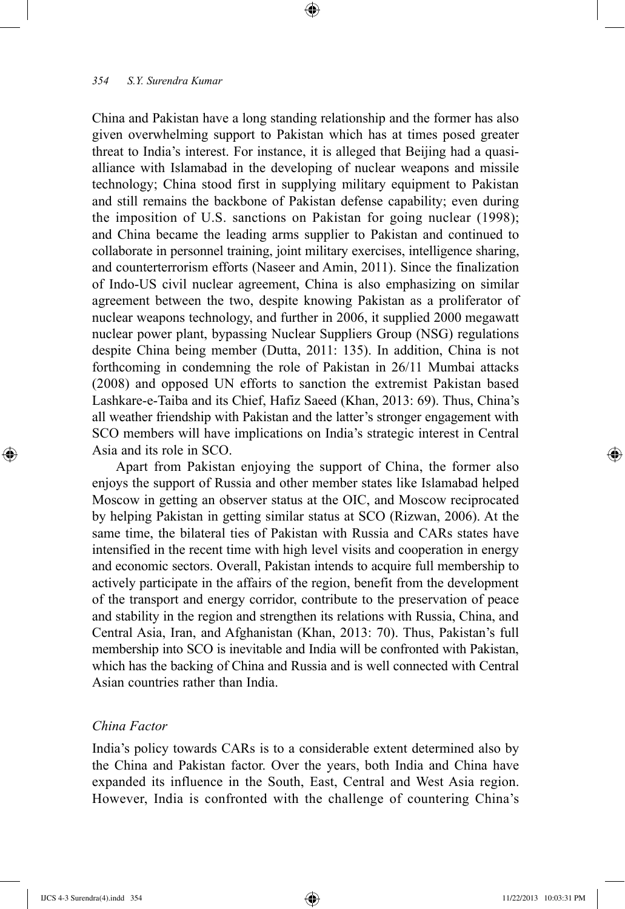China and Pakistan have a long standing relationship and the former has also given overwhelming support to Pakistan which has at times posed greater threat to India's interest. For instance, it is alleged that Beijing had a quasialliance with Islamabad in the developing of nuclear weapons and missile technology; China stood first in supplying military equipment to Pakistan and still remains the backbone of Pakistan defense capability; even during the imposition of U.S. sanctions on Pakistan for going nuclear (1998); and China became the leading arms supplier to Pakistan and continued to collaborate in personnel training, joint military exercises, intelligence sharing, and counterterrorism efforts (Naseer and Amin, 2011). Since the finalization of Indo-US civil nuclear agreement, China is also emphasizing on similar agreement between the two, despite knowing Pakistan as a proliferator of nuclear weapons technology, and further in 2006, it supplied 2000 megawatt nuclear power plant, bypassing Nuclear Suppliers Group (NSG) regulations despite China being member (Dutta, 2011: 135). In addition, China is not forthcoming in condemning the role of Pakistan in 26/11 Mumbai attacks (2008) and opposed UN efforts to sanction the extremist Pakistan based Lashkare-e-Taiba and its Chief, Hafiz Saeed (Khan, 2013: 69). Thus, China's all weather friendship with Pakistan and the latter's stronger engagement with SCO members will have implications on India's strategic interest in Central Asia and its role in SCO.

⊕

Apart from Pakistan enjoying the support of China, the former also enjoys the support of Russia and other member states like Islamabad helped Moscow in getting an observer status at the OIC, and Moscow reciprocated by helping Pakistan in getting similar status at SCO (Rizwan, 2006). At the same time, the bilateral ties of Pakistan with Russia and CARs states have intensified in the recent time with high level visits and cooperation in energy and economic sectors. Overall, Pakistan intends to acquire full membership to actively participate in the affairs of the region, benefit from the development of the transport and energy corridor, contribute to the preservation of peace and stability in the region and strengthen its relations with Russia, China, and Central Asia, Iran, and Afghanistan (Khan, 2013: 70). Thus, Pakistan's full membership into SCO is inevitable and India will be confronted with Pakistan, which has the backing of China and Russia and is well connected with Central Asian countries rather than India.

## *China Factor*

India's policy towards CARs is to a considerable extent determined also by the China and Pakistan factor. Over the years, both India and China have expanded its influence in the South, East, Central and West Asia region. However, India is confronted with the challenge of countering China's

⊕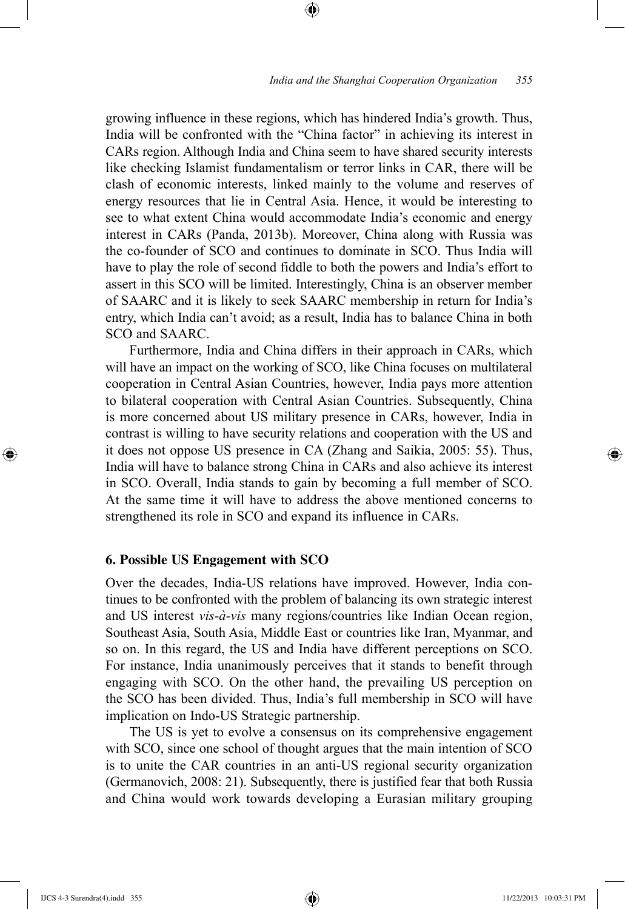growing influence in these regions, which has hindered India's growth. Thus, India will be confronted with the "China factor" in achieving its interest in CARs region. Although India and China seem to have shared security interests like checking Islamist fundamentalism or terror links in CAR, there will be clash of economic interests, linked mainly to the volume and reserves of energy resources that lie in Central Asia. Hence, it would be interesting to see to what extent China would accommodate India's economic and energy interest in CARs (Panda, 2013b). Moreover, China along with Russia was the co-founder of SCO and continues to dominate in SCO. Thus India will have to play the role of second fiddle to both the powers and India's effort to assert in this SCO will be limited. Interestingly, China is an observer member of SAARC and it is likely to seek SAARC membership in return for India's entry, which India can't avoid; as a result, India has to balance China in both SCO and SAARC.

⊕

Furthermore, India and China differs in their approach in CARs, which will have an impact on the working of SCO, like China focuses on multilateral cooperation in Central Asian Countries, however, India pays more attention to bilateral cooperation with Central Asian Countries. Subsequently, China is more concerned about US military presence in CARs, however, India in contrast is willing to have security relations and cooperation with the US and it does not oppose US presence in CA (Zhang and Saikia, 2005: 55). Thus, India will have to balance strong China in CARs and also achieve its interest in SCO. Overall, India stands to gain by becoming a full member of SCO. At the same time it will have to address the above mentioned concerns to strengthened its role in SCO and expand its influence in CARs.

#### **6. Possible US Engagement with SCO**

Over the decades, India-US relations have improved. However, India continues to be confronted with the problem of balancing its own strategic interest and US interest *vis-à-vis* many regions/countries like Indian Ocean region, Southeast Asia, South Asia, Middle East or countries like Iran, Myanmar, and so on. In this regard, the US and India have different perceptions on SCO. For instance, India unanimously perceives that it stands to benefit through engaging with SCO. On the other hand, the prevailing US perception on the SCO has been divided. Thus, India's full membership in SCO will have implication on Indo-US Strategic partnership.

The US is yet to evolve a consensus on its comprehensive engagement with SCO, since one school of thought argues that the main intention of SCO is to unite the CAR countries in an anti-US regional security organization (Germanovich, 2008: 21). Subsequently, there is justified fear that both Russia and China would work towards developing a Eurasian military grouping

⊕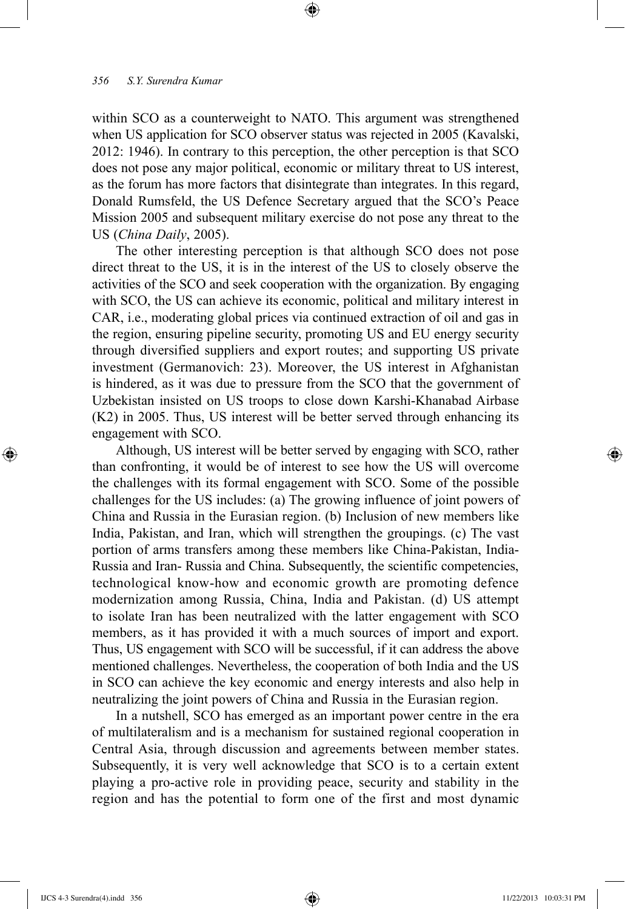within SCO as a counterweight to NATO. This argument was strengthened when US application for SCO observer status was rejected in 2005 (Kavalski, 2012: 1946). In contrary to this perception, the other perception is that SCO does not pose any major political, economic or military threat to US interest, as the forum has more factors that disintegrate than integrates. In this regard, Donald Rumsfeld, the US Defence Secretary argued that the SCO's Peace Mission 2005 and subsequent military exercise do not pose any threat to the US (*China Daily*, 2005).

⊕

The other interesting perception is that although SCO does not pose direct threat to the US, it is in the interest of the US to closely observe the activities of the SCO and seek cooperation with the organization. By engaging with SCO, the US can achieve its economic, political and military interest in CAR, i.e., moderating global prices via continued extraction of oil and gas in the region, ensuring pipeline security, promoting US and EU energy security through diversified suppliers and export routes; and supporting US private investment (Germanovich: 23). Moreover, the US interest in Afghanistan is hindered, as it was due to pressure from the SCO that the government of Uzbekistan insisted on US troops to close down Karshi-Khanabad Airbase (K2) in 2005. Thus, US interest will be better served through enhancing its engagement with SCO.

Although, US interest will be better served by engaging with SCO, rather than confronting, it would be of interest to see how the US will overcome the challenges with its formal engagement with SCO. Some of the possible challenges for the US includes: (a) The growing influence of joint powers of China and Russia in the Eurasian region. (b) Inclusion of new members like India, Pakistan, and Iran, which will strengthen the groupings. (c) The vast portion of arms transfers among these members like China-Pakistan, India-Russia and Iran- Russia and China. Subsequently, the scientific competencies, technological know-how and economic growth are promoting defence modernization among Russia, China, India and Pakistan. (d) US attempt to isolate Iran has been neutralized with the latter engagement with SCO members, as it has provided it with a much sources of import and export. Thus, US engagement with SCO will be successful, if it can address the above mentioned challenges. Nevertheless, the cooperation of both India and the US in SCO can achieve the key economic and energy interests and also help in neutralizing the joint powers of China and Russia in the Eurasian region.

In a nutshell, SCO has emerged as an important power centre in the era of multilateralism and is a mechanism for sustained regional cooperation in Central Asia, through discussion and agreements between member states. Subsequently, it is very well acknowledge that SCO is to a certain extent playing a pro-active role in providing peace, security and stability in the region and has the potential to form one of the first and most dynamic

⊕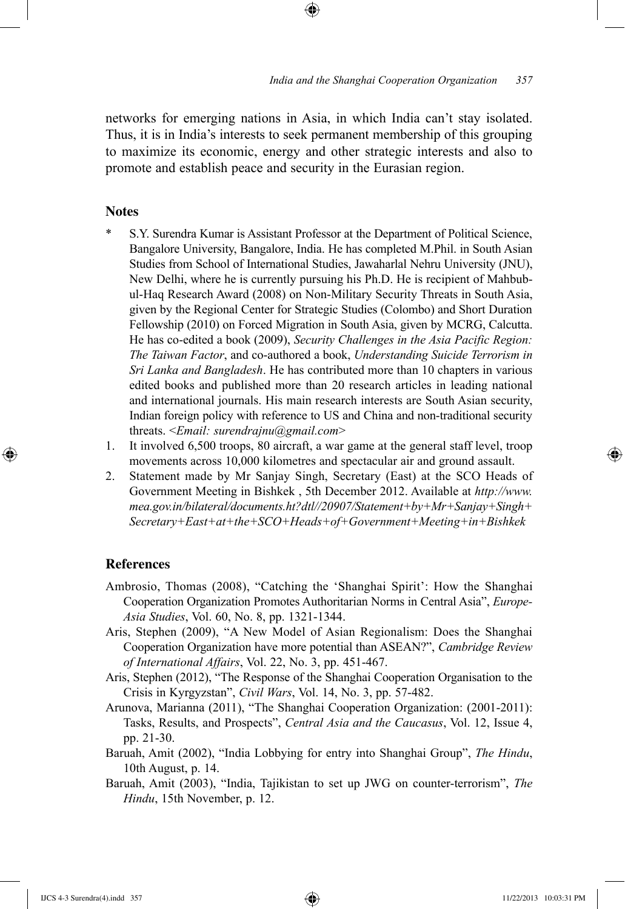networks for emerging nations in Asia, in which India can't stay isolated. Thus, it is in India's interests to seek permanent membership of this grouping to maximize its economic, energy and other strategic interests and also to promote and establish peace and security in the Eurasian region.

⊕

## **Notes**

- S.Y. Surendra Kumar is Assistant Professor at the Department of Political Science, Bangalore University, Bangalore, India. He has completed M.Phil. in South Asian Studies from School of International Studies, Jawaharlal Nehru University (JNU), New Delhi, where he is currently pursuing his Ph.D. He is recipient of Mahbubul-Haq Research Award (2008) on Non-Military Security Threats in South Asia, given by the Regional Center for Strategic Studies (Colombo) and Short Duration Fellowship (2010) on Forced Migration in South Asia, given by MCRG, Calcutta. He has co-edited a book (2009), *Security Challenges in the Asia Pacific Region: The Taiwan Factor*, and co-authored a book, *Understanding Suicide Terrorism in Sri Lanka and Bangladesh*. He has contributed more than 10 chapters in various edited books and published more than 20 research articles in leading national and international journals. His main research interests are South Asian security, Indian foreign policy with reference to US and China and non-traditional security threats. <*Email: surendrajnu@gmail.com*>
- 1. It involved 6,500 troops, 80 aircraft, a war game at the general staff level, troop movements across 10,000 kilometres and spectacular air and ground assault.
- 2. Statement made by Mr Sanjay Singh, Secretary (East) at the SCO Heads of Government Meeting in Bishkek , 5th December 2012. Available at *http://www. mea.gov.in/bilateral/documents.ht?dtl//20907/Statement+by+Mr+Sanjay+Singh+ Secretary+East+at+the+SCO+Heads+of+Government+Meeting+in+Bishkek*

## **References**

⊕

- Ambrosio, Thomas (2008), "Catching the 'Shanghai Spirit': How the Shanghai Cooperation Organization Promotes Authoritarian Norms in Central Asia", *Europe-Asia Studies*, Vol. 60, No. 8, pp. 1321-1344.
- Aris, Stephen (2009), "A New Model of Asian Regionalism: Does the Shanghai Cooperation Organization have more potential than ASEAN?", *Cambridge Review of International Affairs*, Vol. 22, No. 3, pp. 451-467.
- Aris, Stephen (2012), "The Response of the Shanghai Cooperation Organisation to the Crisis in Kyrgyzstan", *Civil Wars*, Vol. 14, No. 3, pp. 57-482.
- Arunova, Marianna (2011), "The Shanghai Cooperation Organization: (2001-2011): Tasks, Results, and Prospects", *Central Asia and the Caucasus*, Vol. 12, Issue 4, pp. 21-30.
- Baruah, Amit (2002), "India Lobbying for entry into Shanghai Group", *The Hindu*, 10th August, p. 14.
- Baruah, Amit (2003), "India, Tajikistan to set up JWG on counter-terrorism", *The Hindu*, 15th November, p. 12.

IJCS 4-3 Surendra(4).indd 357 11/22/2013 10:03:31 PM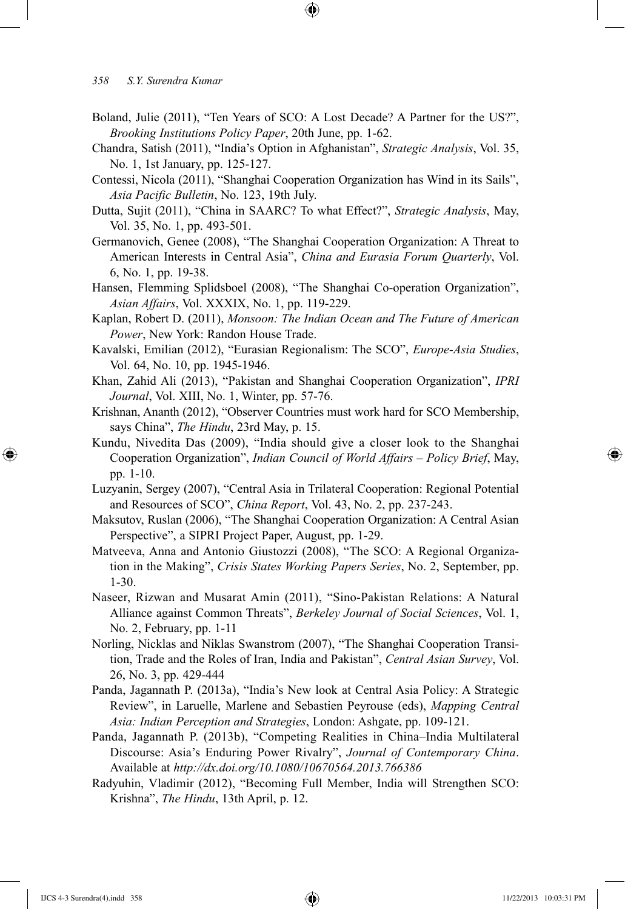Boland, Julie (2011), "Ten Years of SCO: A Lost Decade? A Partner for the US?", *Brooking Institutions Policy Paper*, 20th June, pp. 1-62.

⊕

- Chandra, Satish (2011), "India's Option in Afghanistan", *Strategic Analysis*, Vol. 35, No. 1, 1st January, pp. 125-127.
- Contessi, Nicola (2011), "Shanghai Cooperation Organization has Wind in its Sails", *Asia Pacific Bulletin*, No. 123, 19th July.
- Dutta, Sujit (2011), "China in SAARC? To what Effect?", *Strategic Analysis*, May, Vol. 35, No. 1, pp. 493-501.
- Germanovich, Genee (2008), "The Shanghai Cooperation Organization: A Threat to American Interests in Central Asia", *China and Eurasia Forum Quarterly*, Vol. 6, No. 1, pp. 19-38.
- Hansen, Flemming Splidsboel (2008), "The Shanghai Co-operation Organization", *Asian Affairs*, Vol. XXXIX, No. 1, pp. 119-229.
- Kaplan, Robert D. (2011), *Monsoon: The Indian Ocean and The Future of American Power*, New York: Randon House Trade.
- Kavalski, Emilian (2012), "Eurasian Regionalism: The SCO", *Europe-Asia Studies*, Vol. 64, No. 10, pp. 1945-1946.
- Khan, Zahid Ali (2013), "Pakistan and Shanghai Cooperation Organization", *IPRI Journal*, Vol. XIII, No. 1, Winter, pp. 57-76.
- Krishnan, Ananth (2012), "Observer Countries must work hard for SCO Membership, says China", *The Hindu*, 23rd May, p. 15.
- Kundu, Nivedita Das (2009), "India should give a closer look to the Shanghai Cooperation Organization", *Indian Council of World Affairs – Policy Brief*, May, pp. 1-10.
- Luzyanin, Sergey (2007), "Central Asia in Trilateral Cooperation: Regional Potential and Resources of SCO", *China Report*, Vol. 43, No. 2, pp. 237-243.
- Maksutov, Ruslan (2006), "The Shanghai Cooperation Organization: A Central Asian Perspective", a SIPRI Project Paper, August, pp. 1-29.
- Matveeva, Anna and Antonio Giustozzi (2008), "The SCO: A Regional Organization in the Making", *Crisis States Working Papers Series*, No. 2, September, pp. 1-30.
- Naseer, Rizwan and Musarat Amin (2011), "Sino-Pakistan Relations: A Natural Alliance against Common Threats", *Berkeley Journal of Social Sciences*, Vol. 1, No. 2, February, pp. 1-11
- Norling, Nicklas and Niklas Swanstrom (2007), "The Shanghai Cooperation Transition, Trade and the Roles of Iran, India and Pakistan", *Central Asian Survey*, Vol. 26, No. 3, pp. 429-444
- Panda, Jagannath P. (2013a), "India's New look at Central Asia Policy: A Strategic Review", in Laruelle, Marlene and Sebastien Peyrouse (eds), *Mapping Central Asia: Indian Perception and Strategies*, London: Ashgate, pp. 109-121.
- Panda, Jagannath P. (2013b), "Competing Realities in China–India Multilateral Discourse: Asia's Enduring Power Rivalry", *Journal of Contemporary China*. Available at *http://dx.doi.org/10.1080/10670564.2013.766386*
- Radyuhin, Vladimir (2012), "Becoming Full Member, India will Strengthen SCO: Krishna", *The Hindu*, 13th April, p. 12.

IJCS 4-3 Surendra(4).indd 358 11/22/2013 10:03:31 PM

⊕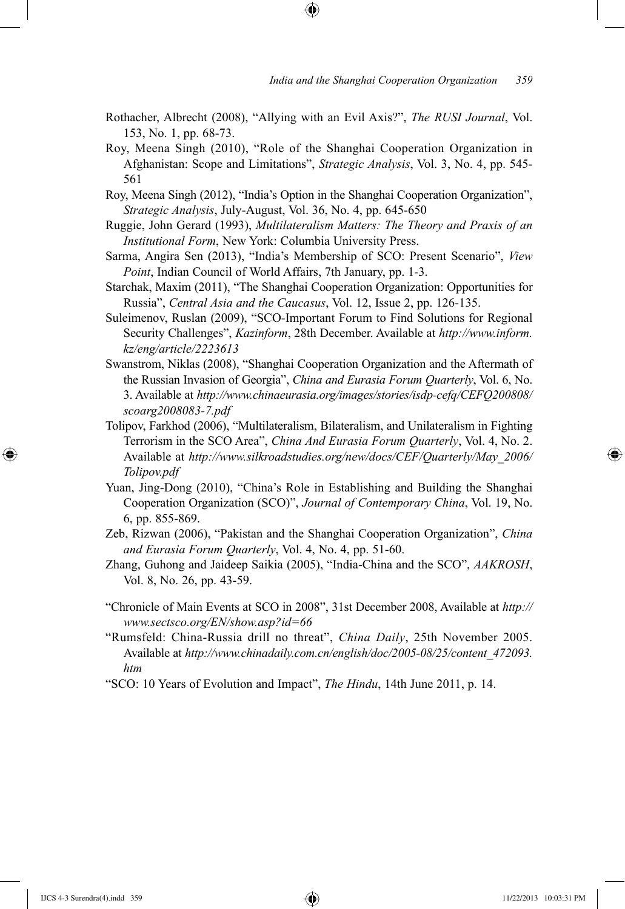Rothacher, Albrecht (2008), "Allying with an Evil Axis?", *The RUSI Journal*, Vol. 153, No. 1, pp. 68-73.

⊕

- Roy, Meena Singh (2010), "Role of the Shanghai Cooperation Organization in Afghanistan: Scope and Limitations", *Strategic Analysis*, Vol. 3, No. 4, pp. 545- 561
- Roy, Meena Singh (2012), "India's Option in the Shanghai Cooperation Organization", *Strategic Analysis*, July-August, Vol. 36, No. 4, pp. 645-650
- Ruggie, John Gerard (1993), *Multilateralism Matters: The Theory and Praxis of an Institutional Form*, New York: Columbia University Press.
- Sarma, Angira Sen (2013), "India's Membership of SCO: Present Scenario", *View Point*, Indian Council of World Affairs, 7th January, pp. 1-3.
- Starchak, Maxim (2011), "The Shanghai Cooperation Organization: Opportunities for Russia", *Central Asia and the Caucasus*, Vol. 12, Issue 2, pp. 126-135.
- Suleimenov, Ruslan (2009), "SCO-Important Forum to Find Solutions for Regional Security Challenges", *Kazinform*, 28th December. Available at *http://www.inform. kz/eng/article/2223613*
- Swanstrom, Niklas (2008), "Shanghai Cooperation Organization and the Aftermath of the Russian Invasion of Georgia", *China and Eurasia Forum Quarterly*, Vol. 6, No. 3. Available at *http://www.chinaeurasia.org/images/stories/isdp-cefq/CEFQ200808/ scoarg2008083-7.pdf*
- Tolipov, Farkhod (2006), "Multilateralism, Bilateralism, and Unilateralism in Fighting Terrorism in the SCO Area", *China And Eurasia Forum Quarterly*, Vol. 4, No. 2. Available at *http://www.silkroadstudies.org/new/docs/CEF/Quarterly/May\_2006/ Tolipov.pdf*
- Yuan, Jing-Dong (2010), "China's Role in Establishing and Building the Shanghai Cooperation Organization (SCO)", *Journal of Contemporary China*, Vol. 19, No. 6, pp. 855-869.
- Zeb, Rizwan (2006), "Pakistan and the Shanghai Cooperation Organization", *China and Eurasia Forum Quarterly*, Vol. 4, No. 4, pp. 51-60.
- Zhang, Guhong and Jaideep Saikia (2005), "India-China and the SCO", *AAKROSH*, Vol. 8, No. 26, pp. 43-59.
- "Chronicle of Main Events at SCO in 2008", 31st December 2008, Available at *http:// www.sectsco.org/EN/show.asp?id=66*
- "Rumsfeld: China-Russia drill no threat", *China Daily*, 25th November 2005. Available at *http://www.chinadaily.com.cn/english/doc/2005-08/25/content\_472093. htm*
- "SCO: 10 Years of Evolution and Impact", *The Hindu*, 14th June 2011, p. 14.

⊕